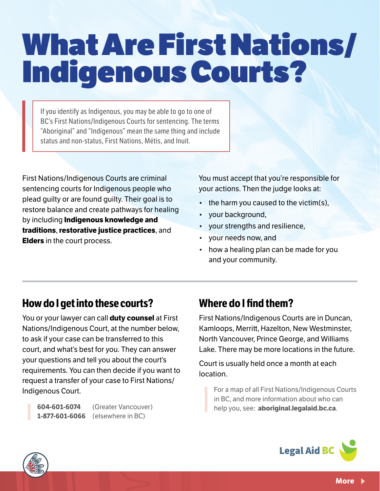# What Are First Nations/ Indigenous Courts?

If you identify as Indigenous, you may be able to go to one of BC's First Nations/Indigenous Courts for sentencing. The terms "Aboriginal" and "Indigenous" mean the same thing and include status and non-status, First Nations, Métis, and Inuit.

First Nations/Indigenous Courts are criminal sentencing courts for Indigenous people who plead guilty or are found guilty. Their goal is to restore balance and create pathways for healing by including **Indigenous knowledge and traditions**, **restorative justice practices**, and **Elders** in the court process.

You must accept that you're responsible for your actions. Then the judge looks at:

- the harm you caused to the victim(s),
- your background,
- your strengths and resilience,
- your needs now, and
- how a healing plan can be made for you and your community.

# **How do I get into these courts?**

You or your lawyer can call **duty counsel** at First Nations/Indigenous Court, at the number below, to ask if your case can be transferred to this court, and what's best for you. They can answer your questions and tell you about the court's requirements. You can then decide if you want to request a transfer of your case to First Nations/ Indigenous Court.

**604-601-6074** (Greater Vancouver) **1-877-601-6066** (elsewhere in BC)

# **Where do I find them?**

First Nations/Indigenous Courts are in Duncan, Kamloops, Merritt, Hazelton, New Westminster, North Vancouver, Prince George, and Williams Lake. There may be more locations in the future.

Court is usually held once a month at each location.

For a map of all First Nations/Indigenous Courts in BC, and more information about who can help you, see: **aboriginal.legalaid.bc.ca**.